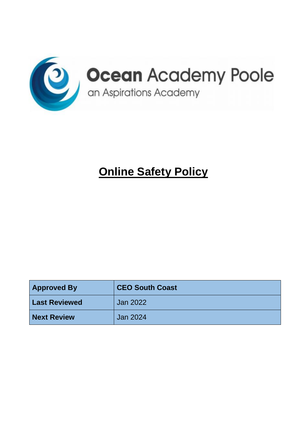

# **Online Safety Policy**

| <b>Approved By</b>   | <b>CEO South Coast</b> |
|----------------------|------------------------|
| <b>Last Reviewed</b> | <b>Jan 2022</b>        |
| <b>Next Review</b>   | <b>Jan 2024</b>        |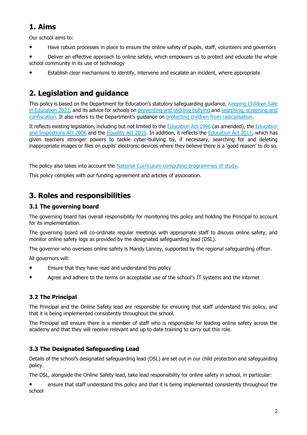# **1. Aims**

Our school aims to:

● Have robust processes in place to ensure the online safety of pupils, staff, volunteers and governors

● Deliver an effective approach to online safety, which empowers us to protect and educate the whole school community in its use of technology

Establish clear mechanisms to identify, intervene and escalate an incident, where appropriate

# **2. Legislation and guidance**

This policy is based on the Department for Education's statutory safeguarding guidance, Keeping Children Safe [in Education](https://www.gov.uk/government/publications/keeping-children-safe-in-education--2) 2021, and its advice for schools on [preventing and tackling bullying](https://www.gov.uk/government/publications/preventing-and-tackling-bullying) and [searching, screening and](https://www.gov.uk/government/publications/searching-screening-and-confiscation)  [confiscation](https://www.gov.uk/government/publications/searching-screening-and-confiscation). It also refers to the Department's guidance on [protecting children from radicalisation.](https://www.gov.uk/government/publications/protecting-children-from-radicalisation-the-prevent-duty)

It reflects existing legislation, including but not limited to the [Education Act 1996](https://www.legislation.gov.uk/ukpga/1996/56/contents) (as amended), the [Education](https://www.legislation.gov.uk/ukpga/2006/40/contents)  [and Inspections Act 2006](https://www.legislation.gov.uk/ukpga/2006/40/contents) and the [Equality Act 2010.](https://www.legislation.gov.uk/ukpga/2010/15/contents) In addition, it reflects the [Education Act 2011,](http://www.legislation.gov.uk/ukpga/2011/21/contents/enacted) which has given teachers stronger powers to tackle cyber-bullying by, if necessary, searching for and deleting inappropriate images or files on pupils' electronic devices where they believe there is a 'good reason' to do so.

The policy also takes into account the [National Curriculum computing programmes of study.](https://www.gov.uk/government/publications/national-curriculum-in-england-computing-programmes-of-study)

This policy complies with our funding agreement and articles of association.

# **3. Roles and responsibilities**

#### **3.1 The governing board**

The governing board has overall responsibility for monitoring this policy and holding the Principal to account for its implementation.

The governing board will co-ordinate regular meetings with appropriate staff to discuss online safety, and monitor online safety logs as provided by the designated safeguarding lead (DSL).

The governor who oversees online safety is Mandy Lancey, supported by the regional safeguarding officer.

All governors will:

- Ensure that they have read and understand this policy
- Agree and adhere to the terms on acceptable use of the school's IT systems and the internet

### **3.2 The Principal**

The Principal and the Online Safety lead are responsible for ensuring that staff understand this policy, and that it is being implemented consistently throughout the school.

The Principal will ensure there is a member of staff who is responsible for leading online safety across the academy and that they will receive relevant and up to date training to carry out this role.

### **3.3 The Designated Safeguarding Lead**

Details of the school's designated safeguarding lead (DSL) are set out in our child protection and safeguarding policy.

The DSL, alongside the Online Safety lead, take lead responsibility for online safety in school, in particular:

● ensure that staff understand this policy and that it is being implemented consistently throughout the school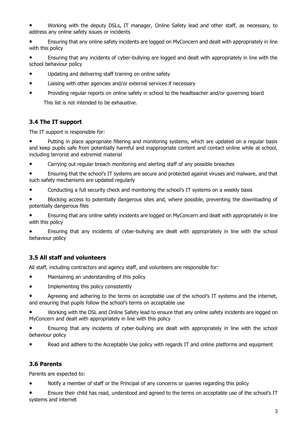Working with the deputy DSLs, IT manager, Online Safety lead and other staff, as necessary, to address any online safety issues or incidents

● Ensuring that any online safety incidents are logged on MyConcern and dealt with appropriately in line with this policy

● Ensuring that any incidents of cyber-bullying are logged and dealt with appropriately in line with the school behaviour policy

- Updating and delivering staff training on online safety
- Liaising with other agencies and/or external services if necessary
- Providing regular reports on online safety in school to the headteacher and/or governing board This list is not intended to be exhaustive.

#### **3.4 The IT support**

The IT support is responsible for:

● Putting in place appropriate filtering and monitoring systems, which are updated on a regular basis and keep pupils safe from potentially harmful and inappropriate content and contact online while at school, including terrorist and extremist material

● Carrying out regular breach monitoring and alerting staff of any possible breaches

● Ensuring that the school's IT systems are secure and protected against viruses and malware, and that such safety mechanisms are updated regularly

● Conducting a full security check and monitoring the school's IT systems on a weekly basis

Blocking access to potentially dangerous sites and, where possible, preventing the downloading of potentially dangerous files

Ensuring that any online safety incidents are logged on MyConcern and dealt with appropriately in line with this policy

Ensuring that any incidents of cyber-bullying are dealt with appropriately in line with the school behaviour policy

#### **3.5 All staff and volunteers**

All staff, including contractors and agency staff, and volunteers are responsible for:

- Maintaining an understanding of this policy
- Implementing this policy consistently

Agreeing and adhering to the terms on acceptable use of the school's IT systems and the internet, and ensuring that pupils follow the school's terms on acceptable use

Working with the DSL and Online Safety lead to ensure that any online safety incidents are logged on MyConcern and dealt with appropriately in line with this policy

● Ensuring that any incidents of cyber-bullying are dealt with appropriately in line with the school behaviour policy

Read and adhere to the Acceptable Use policy with regards IT and online platforms and equipment

#### **3.6 Parents**

Parents are expected to:

● Notify a member of staff or the Principal of any concerns or queries regarding this policy

Ensure their child has read, understood and agreed to the terms on acceptable use of the school's IT systems and internet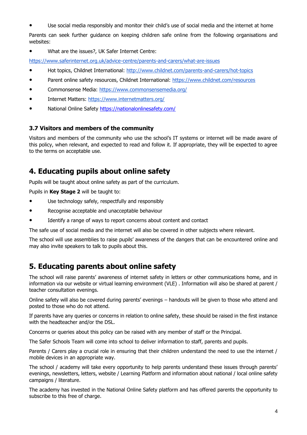Use social media responsibly and monitor their child's use of social media and the internet at home

Parents can seek further guidance on keeping children safe online from the following organisations and websites:

● What are the issues?, UK Safer Internet Centre:

<https://www.saferinternet.org.uk/advice-centre/parents-and-carers/what-are-issues>

- Hot topics, Childnet International:<http://www.childnet.com/parents-and-carers/hot-topics>
- Parent online safety resources, Childnet International:<https://www.childnet.com/resources>
- Commonsense Media:<https://www.commonsensemedia.org/>
- Internet Matters:<https://www.internetmatters.org/>
- National Online Safety https://nationalonlinesafety.com/

#### **3.7 Visitors and members of the community**

Visitors and members of the community who use the school's IT systems or internet will be made aware of this policy, when relevant, and expected to read and follow it. If appropriate, they will be expected to agree to the terms on acceptable use.

### **4. Educating pupils about online safety**

Pupils will be taught about online safety as part of the curriculum.

Pupils in **Key Stage 2** will be taught to:

- Use technology safely, respectfully and responsibly
- Recognise acceptable and unacceptable behaviour
- Identify a range of ways to report concerns about content and contact

The safe use of social media and the internet will also be covered in other subjects where relevant.

The school will use assemblies to raise pupils' awareness of the dangers that can be encountered online and may also invite speakers to talk to pupils about this.

### **5. Educating parents about online safety**

The school will raise parents' awareness of internet safety in letters or other communications home, and in information via our website or virtual learning environment (VLE) . Information will also be shared at parent / teacher consultation evenings.

Online safety will also be covered during parents' evenings – handouts will be given to those who attend and posted to those who do not attend.

If parents have any queries or concerns in relation to online safety, these should be raised in the first instance with the headteacher and/or the DSL.

Concerns or queries about this policy can be raised with any member of staff or the Principal.

The Safer Schools Team will come into school to deliver information to staff, parents and pupils.

Parents / Carers play a crucial role in ensuring that their children understand the need to use the internet / mobile devices in an appropriate way.

The school / academy will take every opportunity to help parents understand these issues through parents' evenings, newsletters, letters, website / Learning Platform and information about national / local online safety campaigns / literature.

The academy has invested in the National Online Safety platform and has offered parents the opportunity to subscribe to this free of charge.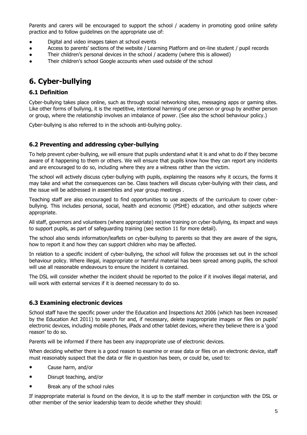Parents and carers will be encouraged to support the school / academy in promoting good online safety practice and to follow guidelines on the appropriate use of:

- Digital and video images taken at school events
- Access to parents' sections of the website / Learning Platform and on-line student / pupil records
- Their children's personal devices in the school / academy (where this is allowed)
- Their children's school Google accounts when used outside of the school

# **6. Cyber-bullying**

#### **6.1 Definition**

Cyber-bullying takes place online, such as through social networking sites, messaging apps or gaming sites. Like other forms of bullying, it is the repetitive, intentional harming of one person or group by another person or group, where the relationship involves an imbalance of power. (See also the school behaviour policy.)

Cyber-bullying is also referred to in the schools anti-bullying policy.

#### **6.2 Preventing and addressing cyber-bullying**

To help prevent cyber-bullying, we will ensure that pupils understand what it is and what to do if they become aware of it happening to them or others. We will ensure that pupils know how they can report any incidents and are encouraged to do so, including where they are a witness rather than the victim.

The school will actively discuss cyber-bullying with pupils, explaining the reasons why it occurs, the forms it may take and what the consequences can be. Class teachers will discuss cyber-bullying with their class, and the issue will be addressed in assemblies and year group meetings .

Teaching staff are also encouraged to find opportunities to use aspects of the curriculum to cover cyberbullying. This includes personal, social, health and economic (PSHE) education, and other subjects where appropriate.

All staff, governors and volunteers (where appropriate) receive training on cyber-bullying, its impact and ways to support pupils, as part of safeguarding training (see section 11 for more detail).

The school also sends information/leaflets on cyber-bullying to parents so that they are aware of the signs, how to report it and how they can support children who may be affected.

In relation to a specific incident of cyber-bullying, the school will follow the processes set out in the school behaviour policy. Where illegal, inappropriate or harmful material has been spread among pupils, the school will use all reasonable endeavours to ensure the incident is contained.

The DSL will consider whether the incident should be reported to the police if it involves illegal material, and will work with external services if it is deemed necessary to do so.

#### **6.3 Examining electronic devices**

School staff have the specific power under the Education and Inspections Act 2006 (which has been increased by the Education Act 2011) to search for and, if necessary, delete inappropriate images or files on pupils' electronic devices, including mobile phones, iPads and other tablet devices, where they believe there is a 'good reason' to do so.

Parents will be informed if there has been any inappropriate use of electronic devices.

When deciding whether there is a good reason to examine or erase data or files on an electronic device, staff must reasonably suspect that the data or file in question has been, or could be, used to:

- Cause harm, and/or
- Disrupt teaching, and/or
- Break any of the school rules

If inappropriate material is found on the device, it is up to the staff member in conjunction with the DSL or other member of the senior leadership team to decide whether they should: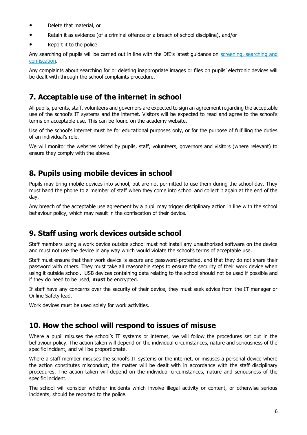- Delete that material, or
- Retain it as evidence (of a criminal offence or a breach of school discipline), and/or
- Report it to the police

Any searching of pupils will be carried out in line with the DfE's latest guidance on [screening, searching and](https://www.gov.uk/government/publications/searching-screening-and-confiscation)  [confiscation.](https://www.gov.uk/government/publications/searching-screening-and-confiscation)

Any complaints about searching for or deleting inappropriate images or files on pupils' electronic devices will be dealt with through the school complaints procedure.

### **7. Acceptable use of the internet in school**

All pupils, parents, staff, volunteers and governors are expected to sign an agreement regarding the acceptable use of the school's IT systems and the internet. Visitors will be expected to read and agree to the school's terms on acceptable use. This can be found on the academy website.

Use of the school's internet must be for educational purposes only, or for the purpose of fulfilling the duties of an individual's role.

We will monitor the websites visited by pupils, staff, volunteers, governors and visitors (where relevant) to ensure they comply with the above.

# **8. Pupils using mobile devices in school**

Pupils may bring mobile devices into school, but are not permitted to use them during the school day. They must hand the phone to a member of staff when they come into school and collect it again at the end of the day.

Any breach of the acceptable use agreement by a pupil may trigger disciplinary action in line with the school behaviour policy, which may result in the confiscation of their device.

# **9. Staff using work devices outside school**

Staff members using a work device outside school must not install any unauthorised software on the device and must not use the device in any way which would violate the school's terms of acceptable use.

Staff must ensure that their work device is secure and password-protected, and that they do not share their password with others. They must take all reasonable steps to ensure the security of their work device when using it outside school. USB devices containing data relating to the school should not be used if possible and if they do need to be used, **must** be encrypted.

If staff have any concerns over the security of their device, they must seek advice from the IT manager or Online Safety lead.

Work devices must be used solely for work activities.

### **10. How the school will respond to issues of misuse**

Where a pupil misuses the school's IT systems or internet, we will follow the procedures set out in the behaviour policy. The action taken will depend on the individual circumstances, nature and seriousness of the specific incident, and will be proportionate.

Where a staff member misuses the school's IT systems or the internet, or misuses a personal device where the action constitutes misconduct, the matter will be dealt with in accordance with the staff disciplinary procedures. The action taken will depend on the individual circumstances, nature and seriousness of the specific incident.

The school will consider whether incidents which involve illegal activity or content, or otherwise serious incidents, should be reported to the police.